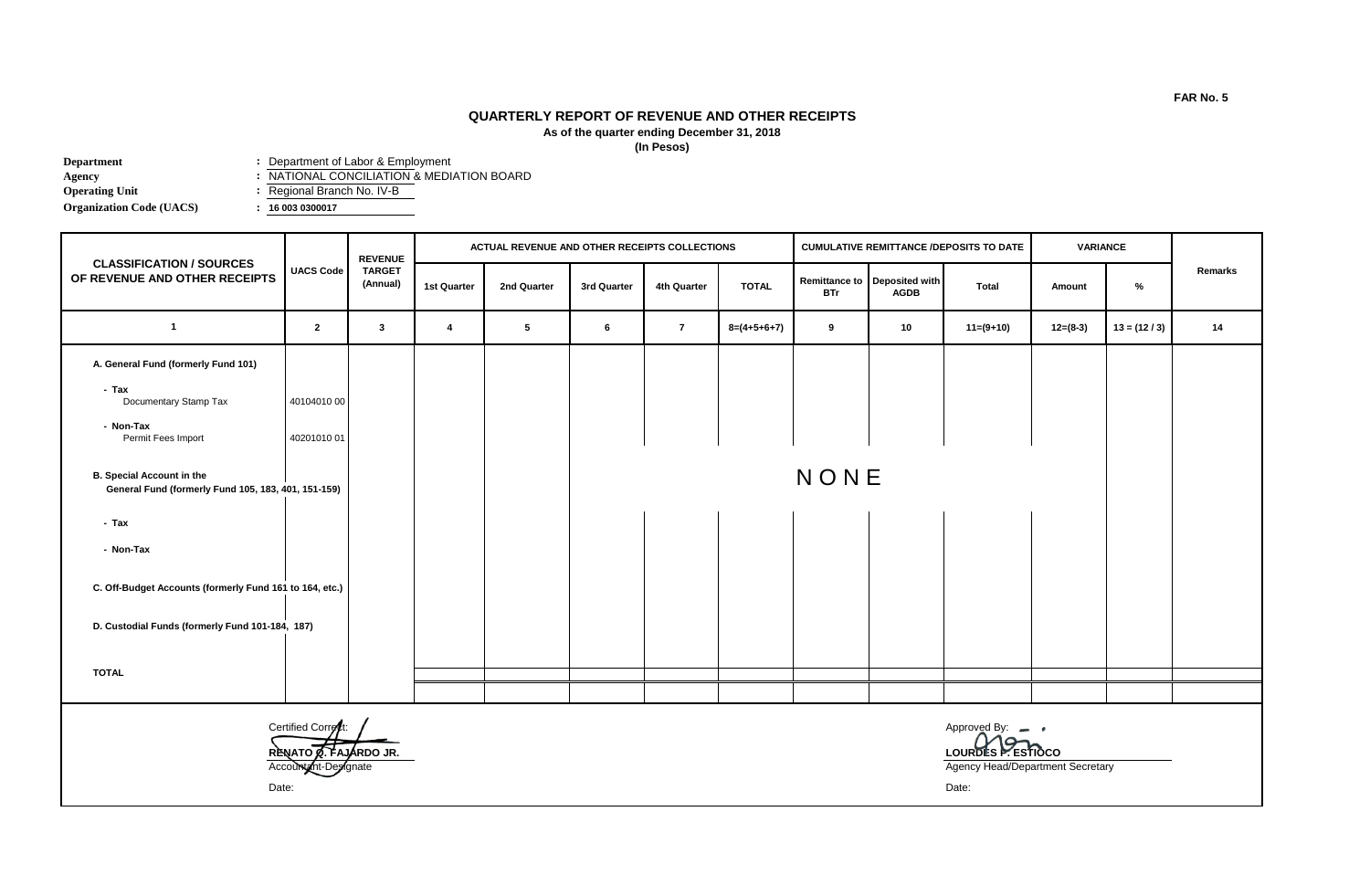## **QUARTERLY REPORT OF REVENUE AND OTHER RECEIPTS As of the quarter ending December 31, 2018**

**(In Pesos)**

| Department                      | : Department of Labor & Employment        |
|---------------------------------|-------------------------------------------|
| Agency                          | : NATIONAL CONCILIATION & MEDIATION BOARD |
| <b>Operating Unit</b>           | : Regional Branch No. IV-B                |
| <b>Organization Code (UACS)</b> | : 160030300017                            |

|                                                                                         | <b>UACS Code</b>                                                     | <b>REVENUE</b><br><b>TARGET</b><br>(Annual) | ACTUAL REVENUE AND OTHER RECEIPTS COLLECTIONS |             |             |              |               | <b>CUMULATIVE REMITTANCE /DEPOSITS TO DATE</b> |                                             |                                                                          | <b>VARIANCE</b> |               |         |
|-----------------------------------------------------------------------------------------|----------------------------------------------------------------------|---------------------------------------------|-----------------------------------------------|-------------|-------------|--------------|---------------|------------------------------------------------|---------------------------------------------|--------------------------------------------------------------------------|-----------------|---------------|---------|
| <b>CLASSIFICATION / SOURCES</b><br>OF REVENUE AND OTHER RECEIPTS                        |                                                                      |                                             | 1st Quarter                                   | 2nd Quarter | 3rd Quarter | 4th Quarter  | <b>TOTAL</b>  | <b>BTr</b>                                     | Remittance to Deposited with<br><b>AGDB</b> | <b>Total</b>                                                             | Amount          | %             | Remarks |
| $\mathbf{1}$                                                                            | $\overline{2}$                                                       | $\mathbf{3}$                                | $\overline{\mathbf{4}}$                       | 5           | 6           | $\mathbf{7}$ | $8=(4+5+6+7)$ | 9                                              | 10                                          | $11=(9+10)$                                                              | $12=(8-3)$      | $13 = (12/3)$ | 14      |
| A. General Fund (formerly Fund 101)                                                     |                                                                      |                                             |                                               |             |             |              |               |                                                |                                             |                                                                          |                 |               |         |
| - Tax<br>Documentary Stamp Tax                                                          | 4010401000                                                           |                                             |                                               |             |             |              |               |                                                |                                             |                                                                          |                 |               |         |
| - Non-Tax<br>Permit Fees Import                                                         | 4020101001                                                           |                                             |                                               |             |             |              |               |                                                |                                             |                                                                          |                 |               |         |
| <b>B. Special Account in the</b><br>General Fund (formerly Fund 105, 183, 401, 151-159) |                                                                      |                                             |                                               |             | NONE        |              |               |                                                |                                             |                                                                          |                 |               |         |
| - Tax                                                                                   |                                                                      |                                             |                                               |             |             |              |               |                                                |                                             |                                                                          |                 |               |         |
| - Non-Tax                                                                               |                                                                      |                                             |                                               |             |             |              |               |                                                |                                             |                                                                          |                 |               |         |
| C. Off-Budget Accounts (formerly Fund 161 to 164, etc.)                                 |                                                                      |                                             |                                               |             |             |              |               |                                                |                                             |                                                                          |                 |               |         |
| D. Custodial Funds (formerly Fund 101-184, 187)                                         |                                                                      |                                             |                                               |             |             |              |               |                                                |                                             |                                                                          |                 |               |         |
| <b>TOTAL</b>                                                                            |                                                                      |                                             |                                               |             |             |              |               |                                                |                                             |                                                                          |                 |               |         |
|                                                                                         |                                                                      |                                             |                                               |             |             |              |               |                                                |                                             |                                                                          |                 |               |         |
|                                                                                         | Certified Correct:<br>RENATO A. FAJARDO JR.<br>Account int-Designate |                                             |                                               |             |             |              |               |                                                |                                             | Approved By: -<br>LOURDES P. ESTIGCO<br>Agency Head/Department Secretary |                 |               |         |

Date: Date: